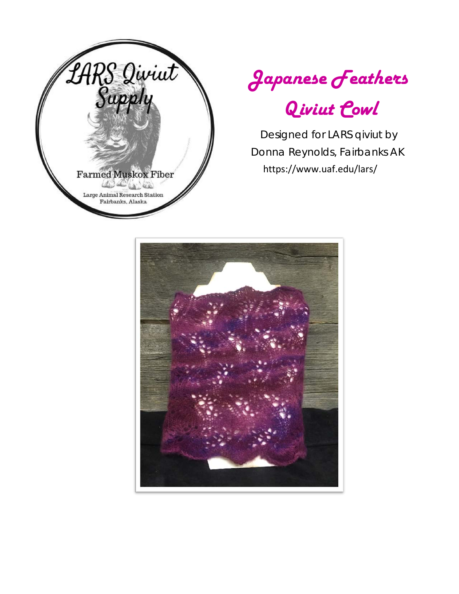



# Qiviut Cowl

 Designed for LARS qiviut by Donna Reynolds, Fairbanks AK https://www.uaf.edu/lars/

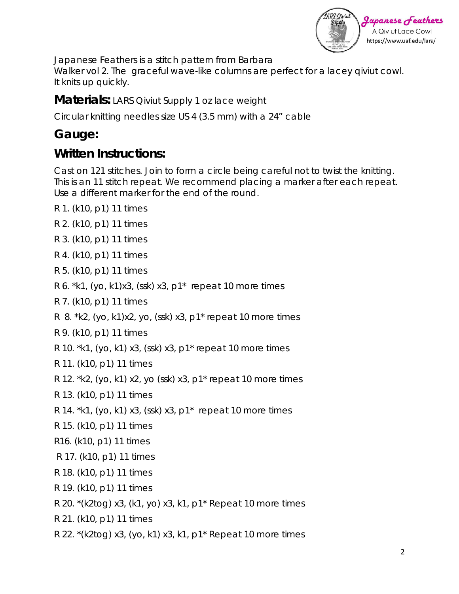

Japanese Feathers is a stitch pattern from Barbara

Walker vol 2. The graceful wave-like columns are perfect for a lacey qiviut cowl. It knits up quickly.

**Materials:** LARS Qiviut Supply 1 oz lace weight

Circular knitting needles size US 4 (3.5 mm) with a 24" cable

### **Gauge:**

#### **Written Instructions:**

Cast on 121 stitches. Join to form a circle being careful not to twist the knitting. This is an 11 stitch repeat. We recommend placing a marker after each repeat. Use a different marker for the end of the round.

- R 1. (k10, p1) 11 times
- R 2. (k10, p1) 11 times
- R 3. (k10, p1) 11 times
- R 4. (k10, p1) 11 times
- R 5. (k10, p1) 11 times
- R 6.  $*$ k1, (yo, k1)x3, (ssk) x3, p1 $*$  repeat 10 more times
- R 7. (k10, p1) 11 times
- R 8. \*k2, (yo, k1)x2, yo, (ssk) x3, p1\* repeat 10 more times
- R 9. (k10, p1) 11 times
- R 10. \*k1, (yo, k1) x3, (ssk) x3, p1\* repeat 10 more times
- R 11. (k10, p1) 11 times
- R 12. \*k2, (yo, k1) x2, yo (ssk) x3, p1\* repeat 10 more times
- R 13. (k10, p1) 11 times
- R 14.  $*$ k1, (yo, k1) x3, (ssk) x3, p1 $*$  repeat 10 more times
- R 15. (k10, p1) 11 times
- R16. (k10, p1) 11 times
- R 17. (k10, p1) 11 times
- R 18. (k10, p1) 11 times
- R 19. (k10, p1) 11 times
- R 20. \*(k2tog) x3, (k1, yo) x3, k1, p1\* Repeat 10 more times
- R 21. (k10, p1) 11 times
- R 22.  $*(k2tog)$  x3, (yo, k1) x3, k1, p1 $*$  Repeat 10 more times